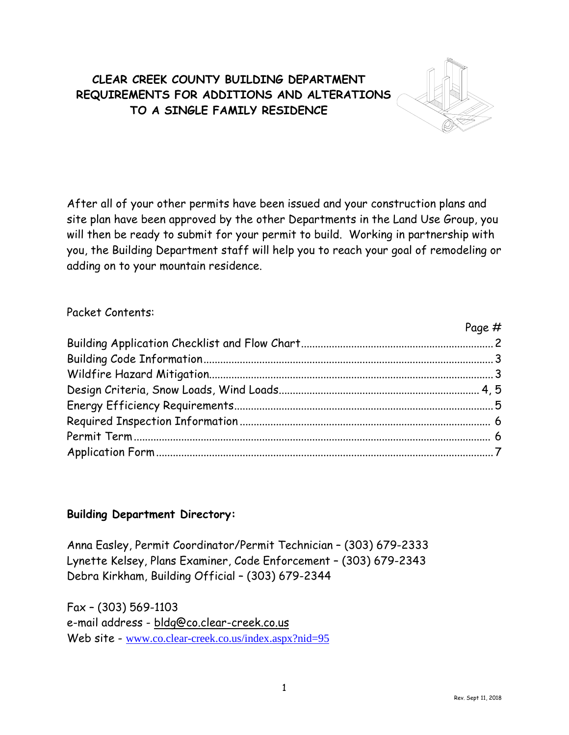## **CLEAR CREEK COUNTY BUILDING DEPARTMENT REQUIREMENTS FOR ADDITIONS AND ALTERATIONS TO A SINGLE FAMILY RESIDENCE**



After all of your other permits have been issued and your construction plans and site plan have been approved by the other Departments in the Land Use Group, you will then be ready to submit for your permit to build. Working in partnership with you, the Building Department staff will help you to reach your goal of remodeling or adding on to your mountain residence.

### Packet Contents:

| Page # |
|--------|
|        |
|        |
|        |
|        |
|        |
|        |
|        |
|        |

## **Building Department Directory:**

Anna Easley, Permit Coordinator/Permit Technician – (303) 679-2333 Lynette Kelsey, Plans Examiner, Code Enforcement – (303) 679-2343 Debra Kirkham, Building Official – (303) 679-2344

Fax – (303) 569-1103 e-mail address - bldg@co.clear-creek.co.us Web site - [www.co.clear-creek.co.us/index.aspx?nid=95](http://www.co.clear-creek.co.us/index.aspx?nid=95)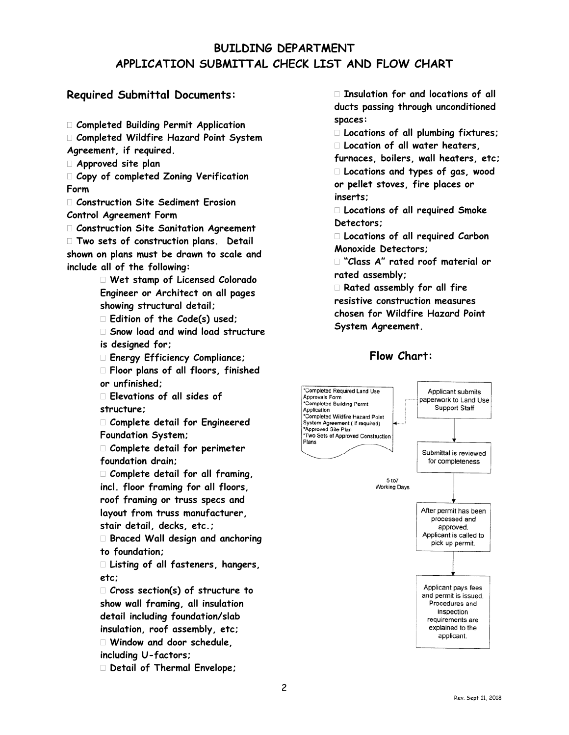## **BUILDING DEPARTMENT APPLICATION SUBMITTAL CHECK LIST AND FLOW CHART**

#### **Required Submittal Documents:**

**Completed Building Permit Application**

- **Completed Wildfire Hazard Point System**
- **Agreement, if required.**
- **Approved site plan**

 **Copy of completed Zoning Verification Form**

 **Construction Site Sediment Erosion Control Agreement Form**

**Construction Site Sanitation Agreement**

 **Two sets of construction plans. Detail shown on plans must be drawn to scale and include all of the following:**

> **Wet stamp of Licensed Colorado Engineer or Architect on all pages showing structural detail;**

**Edition of the Code(s) used;**

 **Snow load and wind load structure is designed for;**

**Energy Efficiency Compliance;** 

 **Floor plans of all floors, finished or unfinished;**

 **Elevations of all sides of structure;**

 **Complete detail for Engineered Foundation System;**

 **Complete detail for perimeter foundation drain;**

 **Complete detail for all framing, incl. floor framing for all floors, roof framing or truss specs and layout from truss manufacturer, stair detail, decks, etc.;**

 **Braced Wall design and anchoring to foundation;**

 **Listing of all fasteners, hangers, etc;**

 **Cross section(s) of structure to show wall framing, all insulation detail including foundation/slab insulation, roof assembly, etc; Window and door schedule, including U-factors;**

**Detail of Thermal Envelope;**

 **Insulation for and locations of all ducts passing through unconditioned spaces:**

**Locations of all plumbing fixtures;**

**Location of all water heaters,** 

**furnaces, boilers, wall heaters, etc; Locations and types of gas, wood or pellet stoves, fire places or inserts;**

 **Locations of all required Smoke Detectors;**

 **Locations of all required Carbon Monoxide Detectors;**

 **"Class A" rated roof material or rated assembly;**

 **Rated assembly for all fire resistive construction measures chosen for Wildfire Hazard Point System Agreement.**

## **Flow Chart:**

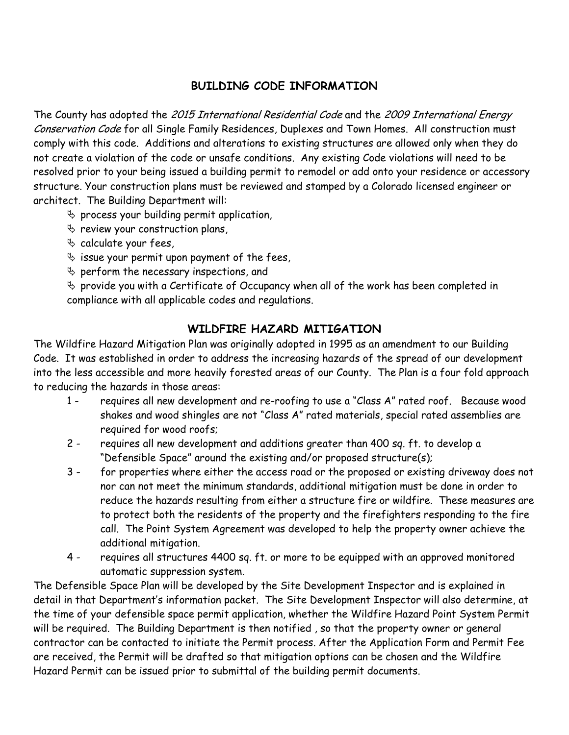## **BUILDING CODE INFORMATION**

The County has adopted the 2015 International Residential Code and the 2009 International Energy Conservation Code for all Single Family Residences, Duplexes and Town Homes. All construction must comply with this code. Additions and alterations to existing structures are allowed only when they do not create a violation of the code or unsafe conditions. Any existing Code violations will need to be resolved prior to your being issued a building permit to remodel or add onto your residence or accessory structure. Your construction plans must be reviewed and stamped by a Colorado licensed engineer or architect. The Building Department will:

- $\%$  process your building permit application,
- $\%$  review your construction plans,
- $\%$  calculate your fees,
- $\%$  issue your permit upon payment of the fees,
- $\%$  perform the necessary inspections, and

 $\%$  provide you with a Certificate of Occupancy when all of the work has been completed in compliance with all applicable codes and regulations.

## **WILDFIRE HAZARD MITIGATION**

The Wildfire Hazard Mitigation Plan was originally adopted in 1995 as an amendment to our Building Code. It was established in order to address the increasing hazards of the spread of our development into the less accessible and more heavily forested areas of our County. The Plan is a four fold approach to reducing the hazards in those areas:

- 1 requires all new development and re-roofing to use a "Class A" rated roof. Because wood shakes and wood shingles are not "Class A" rated materials, special rated assemblies are required for wood roofs;
- 2 requires all new development and additions greater than 400 sq. ft. to develop a "Defensible Space" around the existing and/or proposed structure(s);
- 3 for properties where either the access road or the proposed or existing driveway does not nor can not meet the minimum standards, additional mitigation must be done in order to reduce the hazards resulting from either a structure fire or wildfire. These measures are to protect both the residents of the property and the firefighters responding to the fire call. The Point System Agreement was developed to help the property owner achieve the additional mitigation.
- 4 requires all structures 4400 sq. ft. or more to be equipped with an approved monitored automatic suppression system.

The Defensible Space Plan will be developed by the Site Development Inspector and is explained in detail in that Department's information packet. The Site Development Inspector will also determine, at the time of your defensible space permit application, whether the Wildfire Hazard Point System Permit will be required. The Building Department is then notified , so that the property owner or general contractor can be contacted to initiate the Permit process. After the Application Form and Permit Fee are received, the Permit will be drafted so that mitigation options can be chosen and the Wildfire Hazard Permit can be issued prior to submittal of the building permit documents.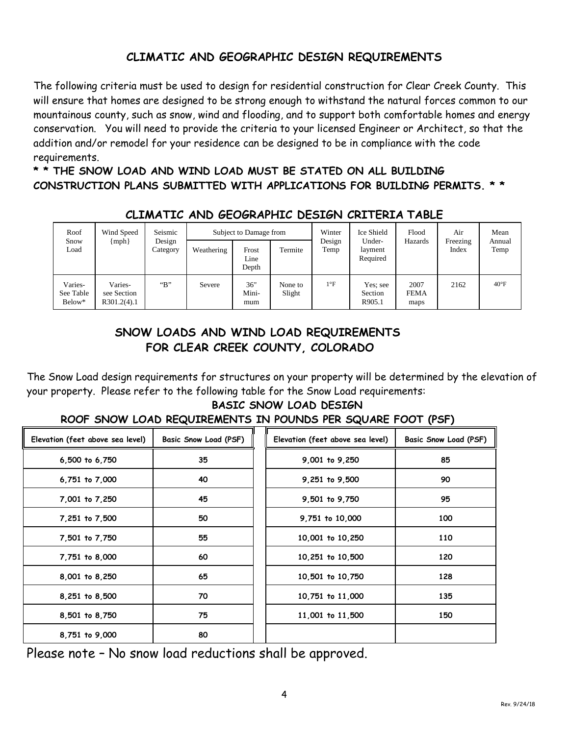## **CLIMATIC AND GEOGRAPHIC DESIGN REQUIREMENTS**

The following criteria must be used to design for residential construction for Clear Creek County. This will ensure that homes are designed to be strong enough to withstand the natural forces common to our mountainous county, such as snow, wind and flooding, and to support both comfortable homes and energy conservation. You will need to provide the criteria to your licensed Engineer or Architect, so that the addition and/or remodel for your residence can be designed to be in compliance with the code requirements.

**\* \* THE SNOW LOAD AND WIND LOAD MUST BE STATED ON ALL BUILDING CONSTRUCTION PLANS SUBMITTED WITH APPLICATIONS FOR BUILDING PERMITS. \* \***

| Roof<br>Snow<br>Load           | Wind Speed<br>${mph}$                 | Seismic<br>Design<br>Category | Weathering | Subject to Damage from<br>Frost<br>Line<br>Depth | Termite           | Winter<br>Design<br>Temp | Ice Shield<br>Under-<br>layment<br>Required | Flood<br>Hazards            | Air<br>Freezing<br>Index | Mean<br>Annual<br>Temp |
|--------------------------------|---------------------------------------|-------------------------------|------------|--------------------------------------------------|-------------------|--------------------------|---------------------------------------------|-----------------------------|--------------------------|------------------------|
| Varies-<br>See Table<br>Below* | Varies-<br>see Section<br>R301.2(4).1 | $\mathbf{B}$                  | Severe     | 36"<br>Mini-<br>mum                              | None to<br>Slight | $1^{\circ}F$             | Yes: see<br>Section<br>R905.1               | 2007<br><b>FEMA</b><br>maps | 2162                     | $40^{\circ}$ F         |

## **CLIMATIC AND GEOGRAPHIC DESIGN CRITERIA TABLE**

## **SNOW LOADS AND WIND LOAD REQUIREMENTS FOR CLEAR CREEK COUNTY, COLORADO**

The Snow Load design requirements for structures on your property will be determined by the elevation of your property. Please refer to the following table for the Snow Load requirements:

# **BASIC SNOW LOAD DESIGN**

#### **ROOF SNOW LOAD REQUIREMENTS IN POUNDS PER SQUARE FOOT (PSF)**

| Elevation (feet above sea level) | Basic Snow Load (PSF) | Elevation (feet above sea level) | Basic Snow Load (PSF) |
|----------------------------------|-----------------------|----------------------------------|-----------------------|
| 6,500 to 6,750                   | 35                    | 9,001 to 9,250                   | 85                    |
| 6,751 to 7,000                   | 40                    | 9,251 to 9,500                   | 90                    |
| 7,001 to 7,250                   | 45                    | 9,501 to 9,750                   | 95                    |
| 7,251 to 7,500                   | 50                    | 9,751 to 10,000                  | 100                   |
| 7,501 to 7,750                   | 55                    | 10,001 to 10,250                 | 110                   |
| 7,751 to 8,000                   | 60                    | 10,251 to 10,500                 | 120                   |
| 8,001 to 8,250                   | 65                    | 10,501 to 10,750                 | 128                   |
| 8,251 to 8,500                   | 70                    | 10,751 to 11,000                 | 135                   |
| 8,501 to 8,750                   | 75                    | 11,001 to 11,500                 | 150                   |
| 8,751 to 9,000                   | 80                    |                                  |                       |

Please note – No snow load reductions shall be approved.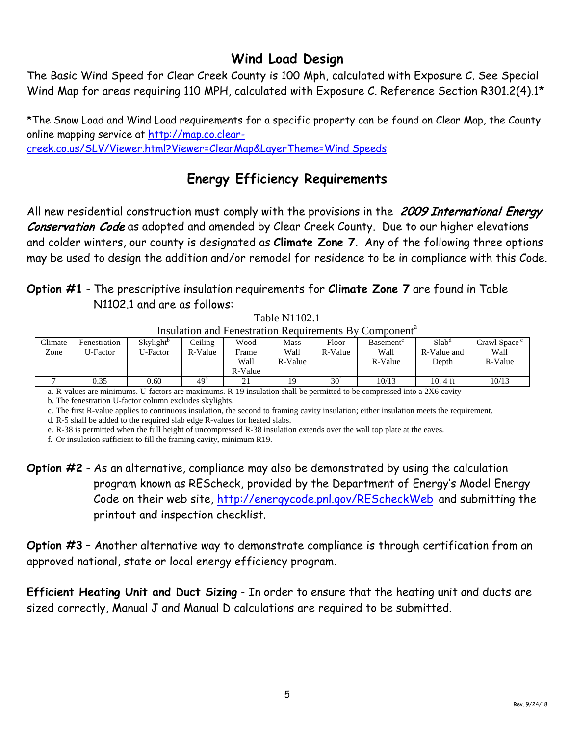# **Wind Load Design**

The Basic Wind Speed for Clear Creek County is 100 Mph, calculated with Exposure C. See Special Wind Map for areas requiring 110 MPH, calculated with Exposure C. Reference Section R301.2(4).1\*

\*The Snow Load and Wind Load requirements for a specific property can be found on Clear Map, the County online mapping service at [http://map.co.clear](http://map.co.clear-creek.co.us/SLV/Viewer.html?Viewer=ClearMap&LayerTheme=Wind%20Speeds)[creek.co.us/SLV/Viewer.html?Viewer=ClearMap&LayerTheme=Wind Speeds](http://map.co.clear-creek.co.us/SLV/Viewer.html?Viewer=ClearMap&LayerTheme=Wind%20Speeds)

# **Energy Efficiency Requirements**

All new residential construction must comply with the provisions in the 2009 International Energy Conservation Code as adopted and amended by Clear Creek County. Due to our higher elevations and colder winters, our county is designated as **Climate Zone 7**. Any of the following three options may be used to design the addition and/or remodel for residence to be in compliance with this Code.

## **Option #1** - The prescriptive insulation requirements for **Climate Zone 7** are found in Table N1102.1 and are as follows:

Table N1102.1 Insulation and Fenestration Requirements By Component<sup>a</sup>

|         |              |                       |         |         | <u>modiation and I chestration isodan chients D</u> |                 | <u>Component</u>      |                   |                          |
|---------|--------------|-----------------------|---------|---------|-----------------------------------------------------|-----------------|-----------------------|-------------------|--------------------------|
| Climate | Fenestration | Skylight <sup>o</sup> | Ceiling | Wood    | Mass                                                | Floor           | Basement <sup>®</sup> | $Slab^{\alpha}$   | Crawl Space <sup>c</sup> |
| Zone    | U-Factor     | U-Factor              | R-Value | Frame   | Wall                                                | R-Value         | Wall                  | R-Value and       | Wall                     |
|         |              |                       |         | Wall    | R-Value                                             |                 | R-Value               | Depth             | R-Value                  |
|         |              |                       |         | R-Value |                                                     |                 |                       |                   |                          |
|         | 0.35         | 0.60                  | $49^e$  | 21      |                                                     | 30 <sup>1</sup> | 10/13                 | $10.4 \text{ ft}$ | 10/13                    |

a. R-values are minimums. U-factors are maximums. R-19 insulation shall be permitted to be compressed into a 2X6 cavity

b. The fenestration U-factor column excludes skylights.

c. The first R-value applies to continuous insulation, the second to framing cavity insulation; either insulation meets the requirement.

d. R-5 shall be added to the required slab edge R-values for heated slabs.

e. R-38 is permitted when the full height of uncompressed R-38 insulation extends over the wall top plate at the eaves.

f. Or insulation sufficient to fill the framing cavity, minimum R19.

**Option #2** - As an alternative, compliance may also be demonstrated by using the calculation program known as REScheck, provided by the Department of Energy's Model Energy Code on their web site,<http://energycode.pnl.gov/REScheckWeb> and submitting the printout and inspection checklist.

**Option #3** – Another alternative way to demonstrate compliance is through certification from an approved national, state or local energy efficiency program.

**Efficient Heating Unit and Duct Sizing** - In order to ensure that the heating unit and ducts are sized correctly, Manual J and Manual D calculations are required to be submitted.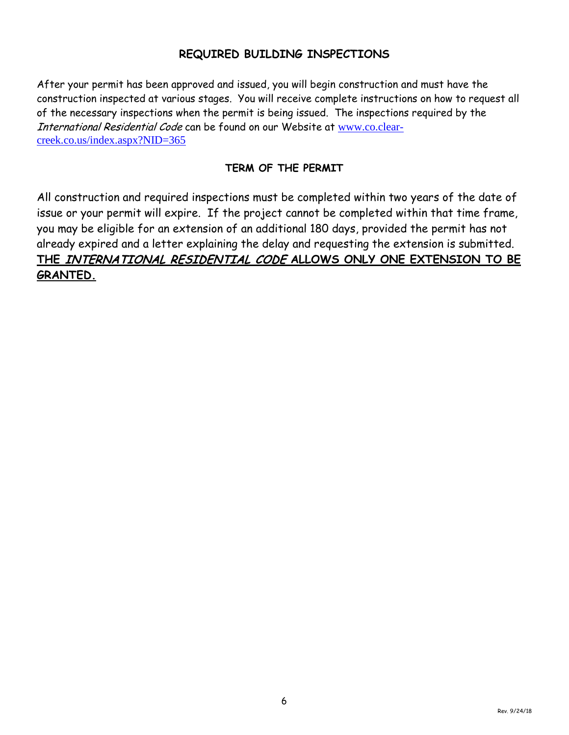## **REQUIRED BUILDING INSPECTIONS**

After your permit has been approved and issued, you will begin construction and must have the construction inspected at various stages. You will receive complete instructions on how to request all of the necessary inspections when the permit is being issued. The inspections required by the International Residential Code can be found on our Website at [www.co.clear](http://www.co.clear-creek.co.us/index.aspx?NID=365)[creek.co.us/index.aspx?NID=365](http://www.co.clear-creek.co.us/index.aspx?NID=365)

### **TERM OF THE PERMIT**

All construction and required inspections must be completed within two years of the date of issue or your permit will expire. If the project cannot be completed within that time frame, you may be eligible for an extension of an additional 180 days, provided the permit has not already expired and a letter explaining the delay and requesting the extension is submitted. **THE** INTERNATIONAL RESIDENTIAL CODE **ALLOWS ONLY ONE EXTENSION TO BE GRANTED.**